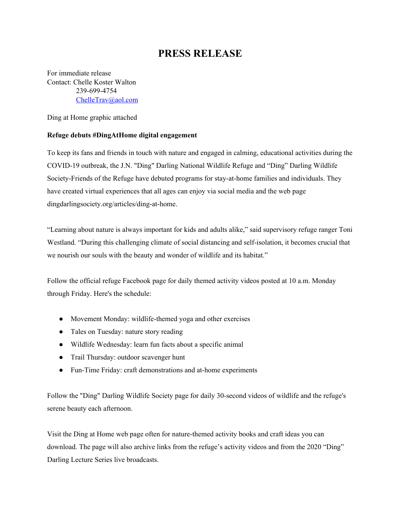## **PRESS RELEASE**

For immediate release Contact: Chelle Koster Walton 239-699-4754 [ChelleTrav@aol.com](mailto:ChelleTrav@aol.com)

Ding at Home graphic attached

## **Refuge debuts #DingAtHome digital engagement**

To keep its fans and friends in touch with nature and engaged in calming, educational activities during the COVID-19 outbreak, the J.N. "Ding" Darling National Wildlife Refuge and "Ding" Darling Wildlife Society-Friends of the Refuge have debuted programs for stay-at-home families and individuals. They have created virtual experiences that all ages can enjoy via social media and the web page dingdarlingsociety.org/articles/ding-at-home.

"Learning about nature is always important for kids and adults alike," said supervisory refuge ranger Toni Westland. "During this challenging climate of social distancing and self-isolation, it becomes crucial that we nourish our souls with the beauty and wonder of wildlife and its habitat."

Follow the official refuge Facebook page for daily themed activity videos posted at 10 a.m. Monday through Friday. Here's the schedule:

- Movement Monday: wildlife-themed yoga and other exercises
- Tales on Tuesday: nature story reading
- Wildlife Wednesday: learn fun facts about a specific animal
- Trail Thursday: outdoor scavenger hunt
- Fun-Time Friday: craft demonstrations and at-home experiments

Follow the "Ding" Darling Wildlife Society page for daily 30-second videos of wildlife and the refuge's serene beauty each afternoon.

Visit the Ding at Home web page often for nature-themed activity books and craft ideas you can download. The page will also archive links from the refuge's activity videos and from the 2020 "Ding" Darling Lecture Series live broadcasts.